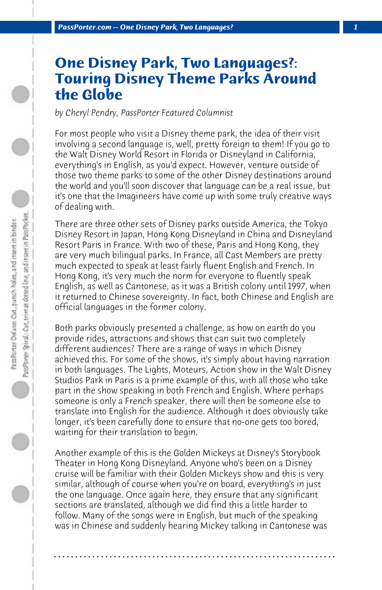## **One Disney Park, Two Languages?: Touring Disney Theme Parks Around the Globe**

*by Cheryl Pendry, PassPorter Featured Columnist*

For most people who visit a Disney theme park, the idea of their visit involving a second language is, well, pretty foreign to them! If you go to the Walt Disney World Resort in Florida or Disneyland in California, everything's in English, as you'd expect. However, venture outside of those two theme parks to some of the other Disney destinations around the world and you'll soon discover that language can be a real issue, but it's one that the Imagineers have come up with some truly creative ways of dealing with.

There are three other sets of Disney parks outside America, the Tokyo Disney Resort in Japan, Hong Kong Disneyland in China and Disneyland Resort Paris in France. With two of these, Paris and Hong Kong, they are very much bilingual parks. In France, all Cast Members are pretty much expected to speak at least fairly fluent English and French. In Hong Kong, it's very much the norm for everyone to fluently speak English, as well as Cantonese, as it was a British colony until 1997, when it returned to Chinese sovereignty. In fact, both Chinese and English are official languages in the former colony.

Both parks obviously presented a challenge, as how on earth do you provide rides, attractions and shows that can suit two completely different audiences? There are a range of ways in which Disney achieved this. For some of the shows, it's simply about having narration in both languages. The Lights, Moteurs, Action show in the Walt Disney Studios Park in Paris is a prime example of this, with all those who take part in the show speaking in both French and English. Where perhaps someone is only a French speaker, there will then be someone else to translate into English for the audience. Although it does obviously take longer, it's been carefully done to ensure that no-one gets too bored, waiting for their translation to begin.

Another example of this is the Golden Mickeys at Disney's Storybook Theater in Hong Kong Disneyland. Anyone who's been on a Disney cruise will be familiar with their Golden Mickeys show and this is very similar, although of course when you're on board, everything's in just the one language. Once again here, they ensure that any significant sections are translated, although we did find this a little harder to follow. Many of the songs were in English, but much of the speaking was in Chinese and suddenly hearing Mickey talking in Cantonese was

**. . . . . . . . . . . . . . . . . . . . . . . . . . . . . . . . . . . . . . . . . . . . . . . . . . . . . . . . . . . . . . . . . .**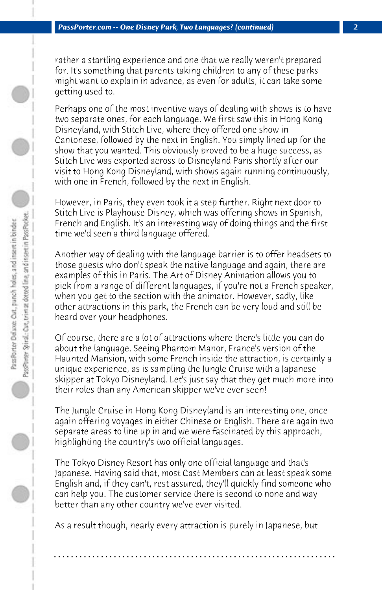rather a startling experience and one that we really weren't prepared for. It's something that parents taking children to any of these parks might want to explain in advance, as even for adults, it can take some getting used to.

Perhaps one of the most inventive ways of dealing with shows is to have two separate ones, for each language. We first saw this in Hong Kong Disneyland, with Stitch Live, where they offered one show in Cantonese, followed by the next in English. You simply lined up for the show that you wanted. This obviously proved to be a huge success, as Stitch Live was exported across to Disneyland Paris shortly after our visit to Hong Kong Disneyland, with shows again running continuously, with one in French, followed by the next in English.

However, in Paris, they even took it a step further. Right next door to Stitch Live is Playhouse Disney, which was offering shows in Spanish, French and English. It's an interesting way of doing things and the first time we'd seen a third language offered.

Another way of dealing with the language barrier is to offer headsets to those guests who don't speak the native language and again, there are examples of this in Paris. The Art of Disney Animation allows you to pick from a range of different languages, if you're not a French speaker, when you get to the section with the animator. However, sadly, like other attractions in this park, the French can be very loud and still be heard over your headphones.

Of course, there are a lot of attractions where there's little you can do about the language. Seeing Phantom Manor, France's version of the Haunted Mansion, with some French inside the attraction, is certainly a unique experience, as is sampling the Jungle Cruise with a Japanese skipper at Tokyo Disneyland. Let's just say that they get much more into their roles than any American skipper we've ever seen!

The Jungle Cruise in Hong Kong Disneyland is an interesting one, once again offering voyages in either Chinese or English. There are again two separate areas to line up in and we were fascinated by this approach, highlighting the country's two official languages.

The Tokyo Disney Resort has only one official language and that's Japanese. Having said that, most Cast Members can at least speak some English and, if they can't, rest assured, they'll quickly find someone who can help you. The customer service there is second to none and way better than any other country we've ever visited.

As a result though, nearly every attraction is purely in Japanese, but

**. . . . . . . . . . . . . . . . . . . . . . . . . . . . . . . . . . . . . . . . . . . . . . . . . . . . . . . . . . . . . . . . . .**